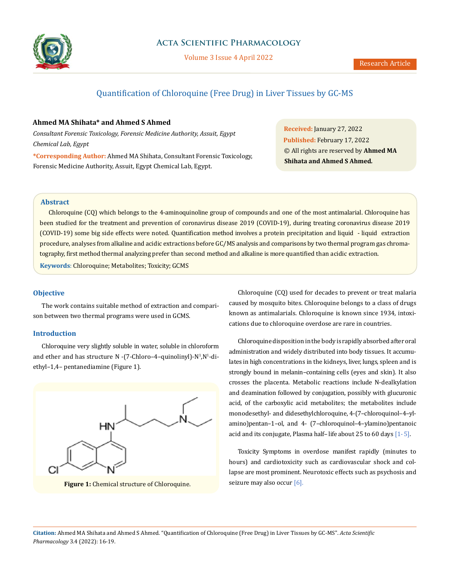

# **Acta Scientific Pharmacology**

Volume 3 Issue 4 April 2022

# Quantification of Chloroquine (Free Drug) in Liver Tissues by GC-MS

# **Ahmed MA Shihata\* and Ahmed S Ahmed**

*Consultant Forensic Toxicology, Forensic Medicine Authority, Assuit, Egypt Chemical Lab, Egypt*

**\*Corresponding Author:** Ahmed MA Shihata, Consultant Forensic Toxicology, Forensic Medicine Authority, Assuit, Egypt Chemical Lab, Egypt.

**Received:** January 27, 2022 **Published:** February 17, 2022 © All rights are reserved by **Ahmed MA Shihata and Ahmed S Ahmed***.* 

# **Abstract**

Chloroquine (CQ) which belongs to the 4-aminoquinoline group of compounds and one of the most antimalarial. Chloroquine has been studied for the treatment and prevention of coronavirus disease 2019 (COVID-19), during treating coronavirus disease 2019 (COVID-19) some big side effects were noted. Quantification method involves a protein precipitation and liquid - liquid extraction procedure, analyses from alkaline and acidic extractions before GC/MS analysis and comparisons by two thermal program gas chromatography, first method thermal analyzing prefer than second method and alkaline is more quantified than acidic extraction. **Keywords**: Chloroquine; Metabolites; Toxicity; GCMS

# **Objective**

The work contains suitable method of extraction and comparison between two thermal programs were used in GCMS.

# **Introduction**

Chloroquine very slightly soluble in water, soluble in chloroform and ether and has structure N -(7-Chloro–4–quinolinyl)-N<sup>1</sup>,N<sup>1</sup>-diethyl–1,4– pentanediamine (Figure 1).



**Figure 1:** Chemical structure of Chloroquine. seizure may also occur [6].

Chloroquine (CQ) used for decades to prevent or treat malaria caused by mosquito bites. Chloroquine belongs to a class of drugs known as antimalarials. Chloroquine is known since 1934, intoxications due to chloroquine overdose are rare in countries.

Chloroquine disposition in the body is rapidly absorbed after oral administration and widely distributed into body tissues. It accumulates in high concentrations in the kidneys, liver, lungs, spleen and is strongly bound in melanin–containing cells (eyes and skin). It also crosses the placenta. Metabolic reactions include N-dealkylation and deamination followed by conjugation, possibly with glucuronic acid, of the carboxylic acid metabolites; the metabolites include monodesethyl- and didesethylchloroquine, 4-(7–chloroquinol–4–ylamino)pentan–1–ol, and 4- (7–chloroquinol–4–ylamino)pentanoic acid and its conjugate, Plasma half– life about 25 to 60 days [1- 5].

Toxicity Symptoms in overdose manifest rapidly (minutes to hours) and cardiotoxicity such as cardiovascular shock and collapse are most prominent. Neurotoxic effects such as psychosis and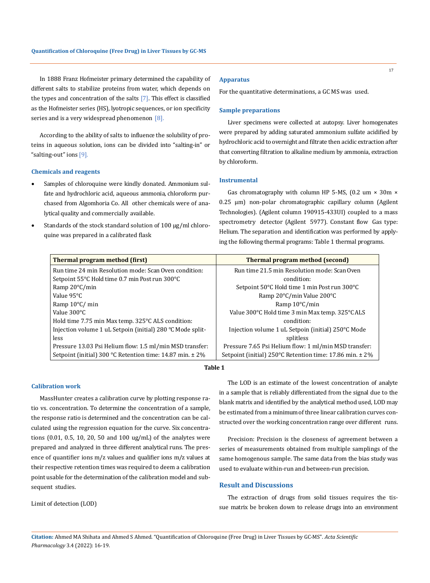In 1888 Franz Hofmeister primary determined the capability of different salts to stabilize proteins from water, which depends on the types and concentration of the salts  $[7]$ . This effect is classified as the Hofmeister series (HS), lyotropic sequences, or ion specificity series and is a very widespread phenomenon  $[8]$ .

According to the ability of salts to influence the solubility of proteins in aqueous solution, ions can be divided into "salting-in" or "salting-out" ions [9].

#### **Chemicals and reagents**

- Samples of chloroquine were kindly donated. Ammonium sulfate and hydrochloric acid, aqueous ammonia, chloroform purchased from Algomhoria Co. All other chemicals were of analytical quality and commercially available.
- Standards of the stock standard solution of 100 µg/ml chloroquine was prepared in a calibrated flask

### **Apparatus**

For the quantitative determinations, a GC MS was used.

#### **Sample preparations**

Liver specimens were collected at autopsy. Liver homogenates were prepared by adding saturated ammonium sulfate acidified by hydrochloric acid to overnight and filtrate then acidic extraction after that converting filtration to alkaline medium by ammonia, extraction by chloroform.

# **Instrumental**

Gas chromatography with column HP 5-MS,  $(0.2 \text{ um} \times 30 \text{ m} \times 10^{-10})$ 0.25 µm) non-polar chromatographic capillary column (Agilent Technologies). (Agilent column 190915-433UI) coupled to a mass spectrometry detector (Agilent 5977). Constant flow Gas type: Helium. The separation and identification was performed by applying the following thermal programs: Table 1 thermal programs.

| <b>Thermal program method (first)</b>                      | Thermal program method (second)                          |
|------------------------------------------------------------|----------------------------------------------------------|
| Run time 24 min Resolution mode: Scan Oven condition:      | Run time 21.5 min Resolution mode: Scan Oven             |
| Setpoint 55°C Hold time 0.7 min Post run 300°C             | condition:                                               |
| Ramp $20^{\circ}$ C/min                                    | Setpoint 50°C Hold time 1 min Post run 300°C             |
| Value 95°C                                                 | Ramp 20°C/min Value 200°C                                |
| Ramp $10^{\circ}$ C/ min                                   | Ramp $10^{\circ}$ C/min                                  |
| Value 300°C                                                | Value 300°C Hold time 3 min Max temp. 325°C ALS          |
| Hold time 7.75 min Max temp. 325°C ALS condition:          | condition:                                               |
| Injection volume 1 uL Setpoin (initial) 280 °C Mode split- | Injection volume 1 uL Setpoin (initial) 250°C Mode       |
| less                                                       | splitless                                                |
| Pressure 13.03 Psi Helium flow: 1.5 ml/min MSD transfer:   | Pressure 7.65 Psi Helium flow: 1 ml/min MSD transfer:    |
| Setpoint (initial) 300 °C Retention time: 14.87 min. ± 2%  | Setpoint (initial) 250°C Retention time: 17.86 min. ± 2% |

# **Table 1**

#### **Calibration work**

MassHunter creates a calibration curve by plotting response ratio vs. concentration. To determine the concentration of a sample, the response ratio is determined and the concentration can be calculated using the regression equation for the curve. Six concentrations (0.01, 0.5, 10, 20, 50 and 100 ug/mL) of the analytes were prepared and analyzed in three different analytical runs. The presence of quantifier ions m/z values and qualifier ions m/z values at their respective retention times was required to deem a calibration point usable for the determination of the calibration model and subsequent studies.

Limit of detection (LOD)

The LOD is an estimate of the lowest concentration of analyte in a sample that is reliably differentiated from the signal due to the blank matrix and identified by the analytical method used, LOD may be estimated from a minimum of three linear calibration curves constructed over the working concentration range over different runs.

Precision: Precision is the closeness of agreement between a series of measurements obtained from multiple samplings of the same homogenous sample. The same data from the bias study was used to evaluate within-run and between-run precision.

# **Result and Discussions**

The extraction of drugs from solid tissues requires the tissue matrix be broken down to release drugs into an environment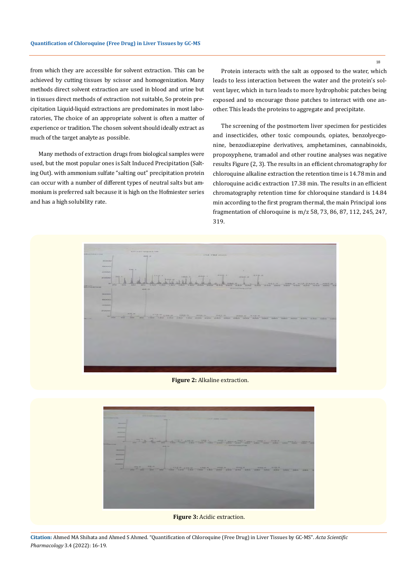from which they are accessible for solvent extraction. This can be achieved by cutting tissues by scissor and homogenization. Many methods direct solvent extraction are used in blood and urine but in tissues direct methods of extraction not suitable, So protein precipitation Liquid-liquid extractions are predominates in most laboratories, The choice of an appropriate solvent is often a matter of experience or tradition. The chosen solvent should ideally extract as much of the target analyte as possible.

Many methods of extraction drugs from biological samples were used, but the most popular ones is Salt Induced Precipitation (Salting Out). with ammonium sulfate "salting out" precipitation protein can occur with a number of different types of neutral salts but ammonium is preferred salt because it is high on the Hofmiester series and has a high solubility rate.

Protein interacts with the salt as opposed to the water, which leads to less interaction between the water and the protein's solvent layer, which in turn leads to more hydrophobic patches being exposed and to encourage those patches to interact with one another. This leads the proteins to aggregate and precipitate.

The screening of the postmortem liver specimen for pesticides and insecticides, other toxic compounds, opiates, benzolyecgonine, benzodiazepine derivatives, amphetamines, cannabinoids, propoxyphene, tramadol and other routine analyses was negative results Figure (2, 3). The results in an efficient chromatography for chloroquine alkaline extraction the retention time is 14.78 min and chloroquine acidic extraction 17.38 min. The results in an efficient chromatography retention time for chloroquine standard is 14.84 min according to the first program thermal, the main Principal ions fragmentation of chloroquine is m/z 58, 73, 86, 87, 112, 245, 247, 319.



**Figure 2:** Alkaline extraction.



**Citation:** Ahmed MA Shihata and Ahmed S Ahmed*.* "Quantification of Chloroquine (Free Drug) in Liver Tissues by GC-MS". *Acta Scientific Pharmacology* 3.4 (2022): 16-19.

18